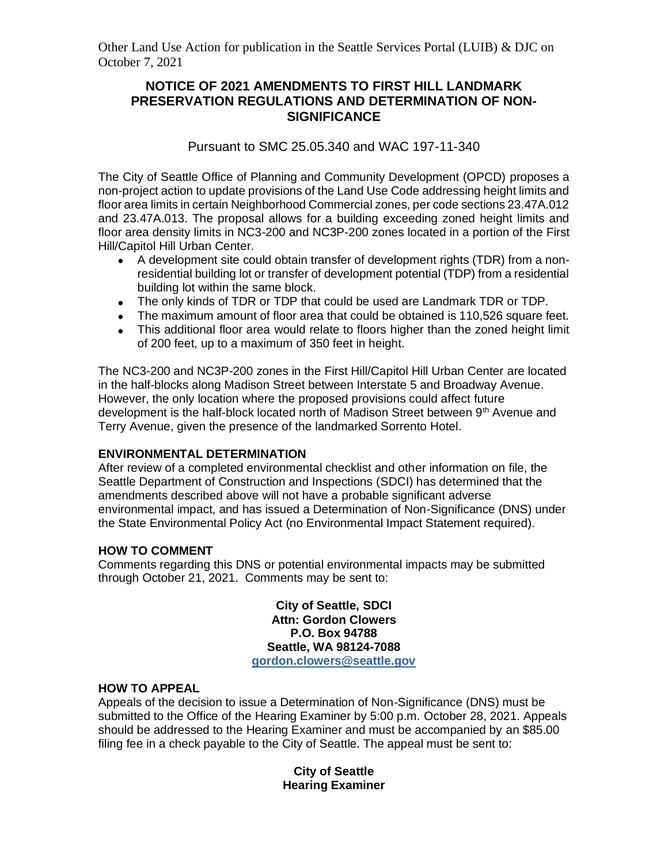Other Land Use Action for publication in the Seattle Services Portal (LUIB) & DJC on October 7, 2021

# **NOTICE OF 2021 AMENDMENTS TO FIRST HILL LANDMARK PRESERVATION REGULATIONS AND DETERMINATION OF NON-SIGNIFICANCE**

# Pursuant to SMC 25.05.340 and WAC 197-11-340

The City of Seattle Office of Planning and Community Development (OPCD) proposes a non-project action to update provisions of the Land Use Code addressing height limits and floor area limits in certain Neighborhood Commercial zones, per code sections 23.47A.012 and 23.47A.013. The proposal allows for a building exceeding zoned height limits and floor area density limits in NC3-200 and NC3P-200 zones located in a portion of the First Hill/Capitol Hill Urban Center.

- A development site could obtain transfer of development rights (TDR) from a nonresidential building lot or transfer of development potential (TDP) from a residential building lot within the same block.
- The only kinds of TDR or TDP that could be used are Landmark TDR or TDP.
- The maximum amount of floor area that could be obtained is 110,526 square feet.
- This additional floor area would relate to floors higher than the zoned height limit of 200 feet, up to a maximum of 350 feet in height.

The NC3-200 and NC3P-200 zones in the First Hill/Capitol Hill Urban Center are located in the half-blocks along Madison Street between Interstate 5 and Broadway Avenue. However, the only location where the proposed provisions could affect future development is the half-block located north of Madison Street between 9<sup>th</sup> Avenue and Terry Avenue, given the presence of the landmarked Sorrento Hotel.

### **ENVIRONMENTAL DETERMINATION**

After review of a completed environmental checklist and other information on file, the Seattle Department of Construction and Inspections (SDCI) has determined that the amendments described above will not have a probable significant adverse environmental impact, and has issued a Determination of Non-Significance (DNS) under the State Environmental Policy Act (no Environmental Impact Statement required).

### **HOW TO COMMENT**

Comments regarding this DNS or potential environmental impacts may be submitted through October 21, 2021. Comments may be sent to:

> **City of Seattle, SDCI Attn: Gordon Clowers P.O. Box 94788 Seattle, WA 98124-7088 [gordon.clowers@seattle.gov](mailto:gordon.clowers@seattle.gov)**

### **HOW TO APPEAL**

Appeals of the decision to issue a Determination of Non-Significance (DNS) must be submitted to the Office of the Hearing Examiner by 5:00 p.m. October 28, 2021. Appeals should be addressed to the Hearing Examiner and must be accompanied by an \$85.00 filing fee in a check payable to the City of Seattle. The appeal must be sent to:

> **City of Seattle Hearing Examiner**